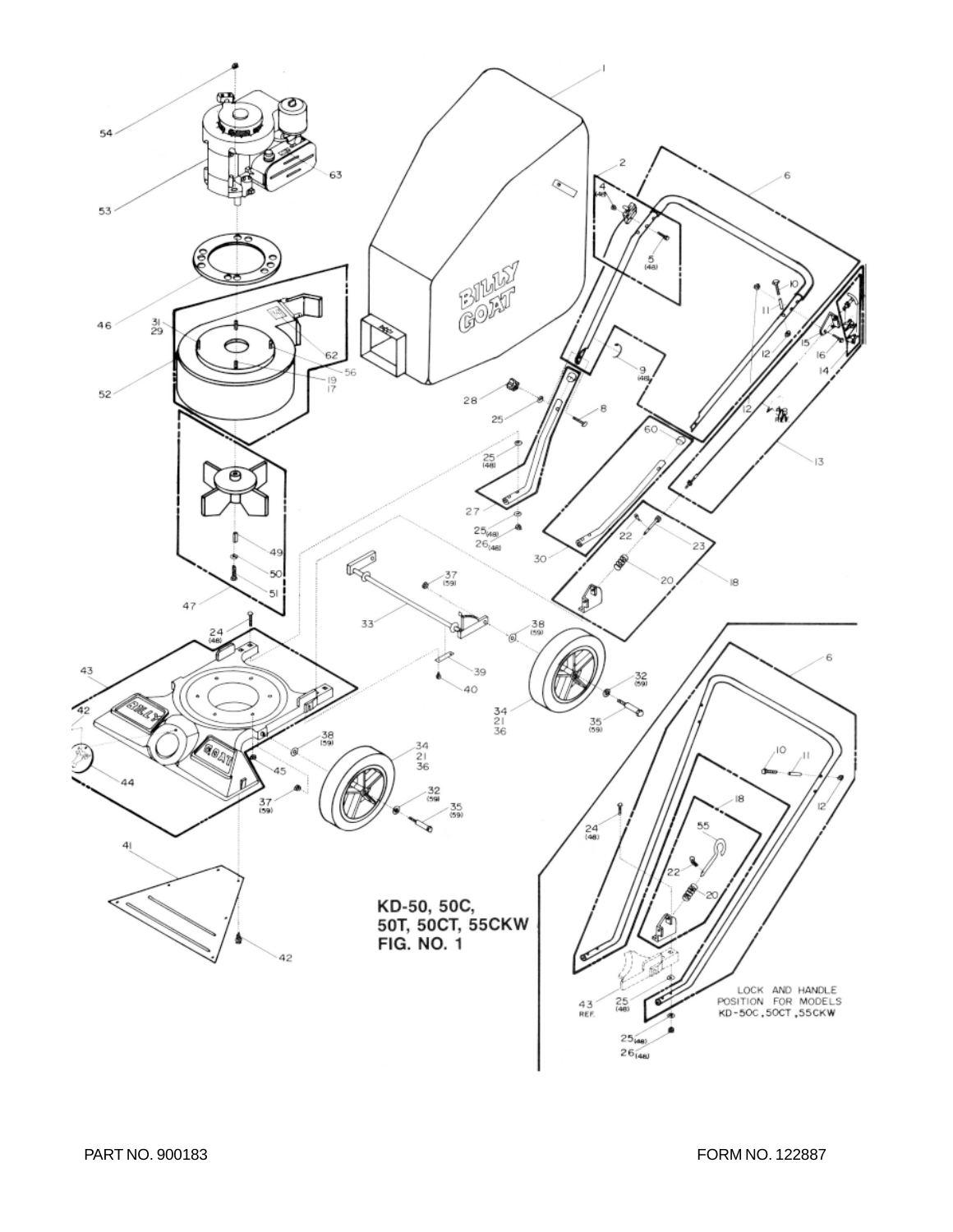